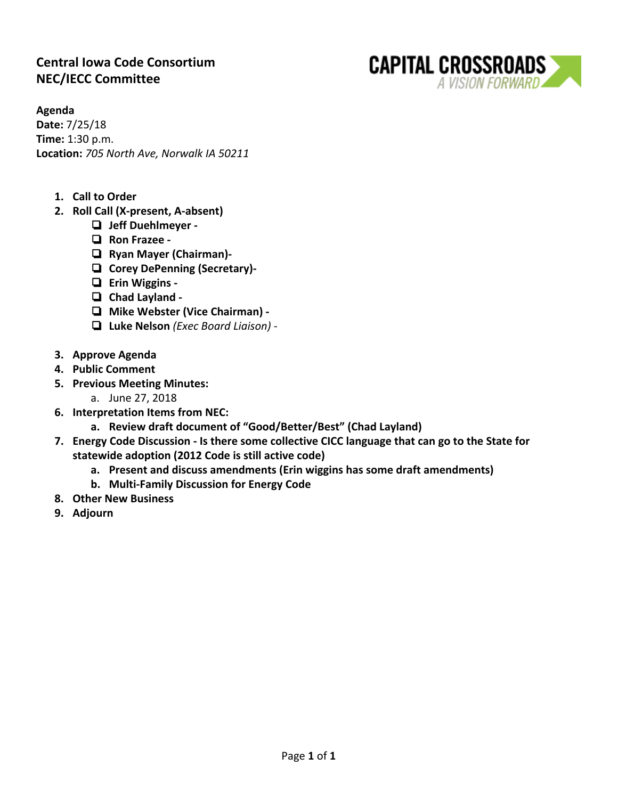# **Central Iowa Code Consortium NEC/IECC Committee**



**Agenda**

**Date:** 7/25/18 **Time:** 1:30 p.m. **Location:** *705 North Ave, Norwalk IA 50211*

- **1. Call to Order**
- **2. Roll Call (X-present, A-absent)**
	- ❏ **Jeff Duehlmeyer -**
	- ❏ **Ron Frazee -**
	- ❏ **Ryan Mayer (Chairman)-**
	- ❏ **Corey DePenning (Secretary)-**
	- ❏ **Erin Wiggins -**
	- ❏ **Chad Layland -**
	- ❏ **Mike Webster (Vice Chairman) -**
	- ❏ **Luke Nelson** *(Exec Board Liaison) -*
- **3. Approve Agenda**
- **4. Public Comment**
- **5. Previous Meeting Minutes:**
	- a. June 27, 2018
- **6. Interpretation Items from NEC:**
	- **a. Review draft document of "Good/Better/Best" (Chad Layland)**
- **7. Energy Code Discussion Is there some collective CICC language that can go to the State for statewide adoption (2012 Code is still active code)**
	- **a. Present and discuss amendments (Erin wiggins has some draft amendments)**
	- **b. Multi-Family Discussion for Energy Code**
- **8. Other New Business**
- **9. Adjourn**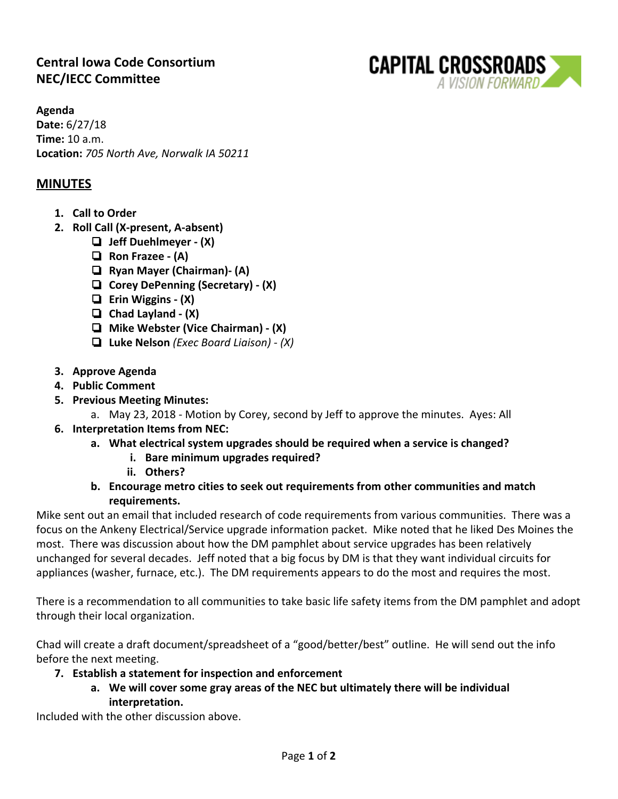# **Central Iowa Code Consortium NEC/IECC Committee**



#### **MINUTES**

- **1. Call to Order**
- **2. Roll Call (X-present, A-absent)**
	- ❏ **Jeff Duehlmeyer (X)**
	- ❏ **Ron Frazee (A)**
	- ❏ **Ryan Mayer (Chairman)- (A)**
	- ❏ **Corey DePenning (Secretary) (X)**
	- ❏ **Erin Wiggins (X)**
	- ❏ **Chad Layland (X)**
	- ❏ **Mike Webster (Vice Chairman) (X)**
	- ❏ **Luke Nelson** *(Exec Board Liaison) (X)*
- **3. Approve Agenda**
- **4. Public Comment**
- **5. Previous Meeting Minutes:**
	- a. May 23, 2018 Motion by Corey, second by Jeff to approve the minutes. Ayes: All

**CAPITAL CROSSROADS** 

A VISION FORWARD

- **6. Interpretation Items from NEC:**
	- **a. What electrical system upgrades should be required when a service is changed?**
		- **i. Bare minimum upgrades required?**
		- **ii. Others?**
	- **b. Encourage metro cities to seek out requirements from other communities and match requirements.**

Mike sent out an email that included research of code requirements from various communities. There was a focus on the Ankeny Electrical/Service upgrade information packet. Mike noted that he liked Des Moines the most. There was discussion about how the DM pamphlet about service upgrades has been relatively unchanged for several decades. Jeff noted that a big focus by DM is that they want individual circuits for appliances (washer, furnace, etc.). The DM requirements appears to do the most and requires the most.

There is a recommendation to all communities to take basic life safety items from the DM pamphlet and adopt through their local organization.

Chad will create a draft document/spreadsheet of a "good/better/best" outline. He will send out the info before the next meeting.

- **7. Establish a statement for inspection and enforcement**
	- **a. We will cover some gray areas of the NEC but ultimately there will be individual interpretation.**

Included with the other discussion above.